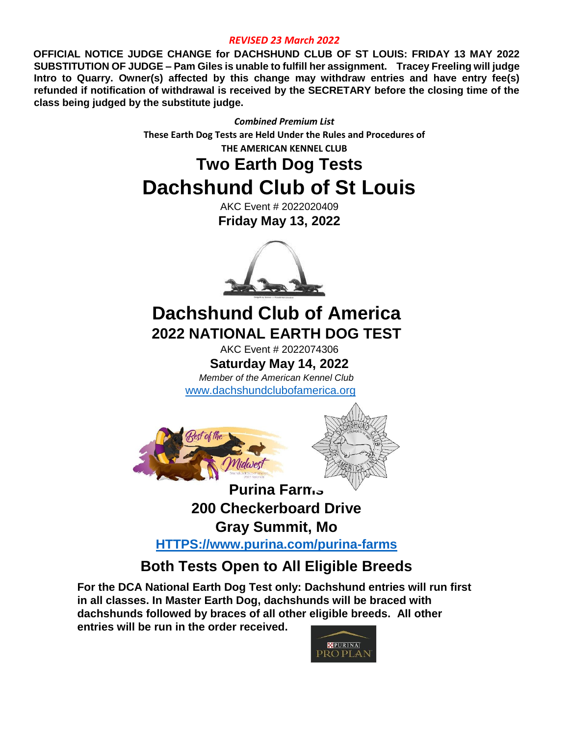#### *REVISED 23 March 2022*

**OFFICIAL NOTICE JUDGE CHANGE for DACHSHUND CLUB OF ST LOUIS: FRIDAY 13 MAY 2022 SUBSTITUTION OF JUDGE – Pam Giles is unable to fulfill her assignment. Tracey Freeling will judge Intro to Quarry. Owner(s) affected by this change may withdraw entries and have entry fee(s) refunded if notification of withdrawal is received by the SECRETARY before the closing time of the class being judged by the substitute judge.** 

> *Combined Premium List* **These Earth Dog Tests are Held Under the Rules and Procedures of THE AMERICAN KENNEL CLUB**

# **Two Earth Dog Tests Dachshund Club of St Louis**

AKC Event # 2022020409 **Friday May 13, 2022**



# **Dachshund Club of America 2022 NATIONAL EARTH DOG TEST**

AKC Event # 2022074306 **Saturday May 14, 2022**

*Member of the American Kennel Club* 

[www.dachshundclubofamerica.org](http://www.dachshundclubofamerica.org/)



**200 Checkerboard Drive**

**Gray Summit, Mo** 

**[HTTPS://www.purina.com/purina-farms](https://www.purina.com/purina-farms)**

# **Both Tests Open to All Eligible Breeds**

**For the DCA National Earth Dog Test only: Dachshund entries will run first in all classes. In Master Earth Dog, dachshunds will be braced with dachshunds followed by braces of all other eligible breeds. All other entries will be run in the order received.** 

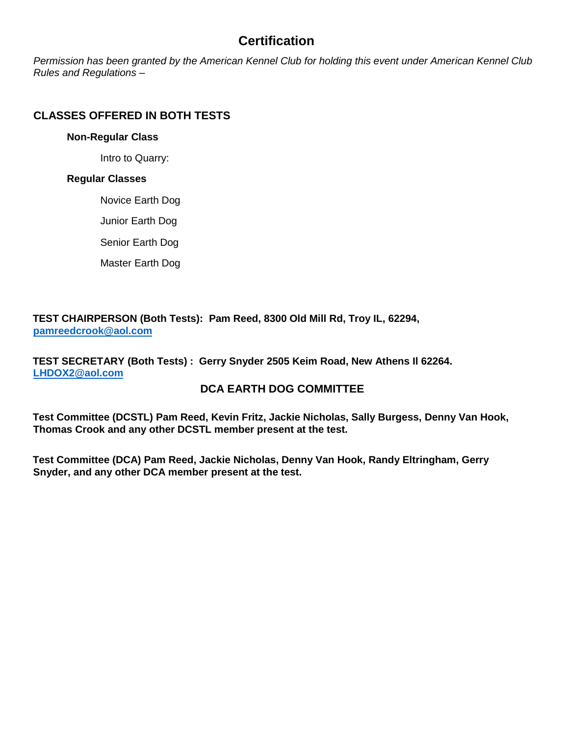### **Certification**

*Permission has been granted by the American Kennel Club for holding this event under American Kennel Club Rules and Regulations –* 

#### **CLASSES OFFERED IN BOTH TESTS**

#### **Non-Regular Class**

Intro to Quarry:

#### **Regular Classes**

Novice Earth Dog

Junior Earth Dog

Senior Earth Dog

Master Earth Dog

**TEST CHAIRPERSON (Both Tests): Pam Reed, 8300 Old Mill Rd, Troy IL, 62294, [pamreedcrook@aol.com](mailto:pamreedcrook@aol.com)**

**TEST SECRETARY (Both Tests) : Gerry Snyder 2505 Keim Road, New Athens Il 62264. [LHDOX2@aol.com](mailto:LHDOX2@aol.com)**

#### **DCA EARTH DOG COMMITTEE**

**Test Committee (DCSTL) Pam Reed, Kevin Fritz, Jackie Nicholas, Sally Burgess, Denny Van Hook, Thomas Crook and any other DCSTL member present at the test.**

**Test Committee (DCA) Pam Reed, Jackie Nicholas, Denny Van Hook, Randy Eltringham, Gerry Snyder, and any other DCA member present at the test.**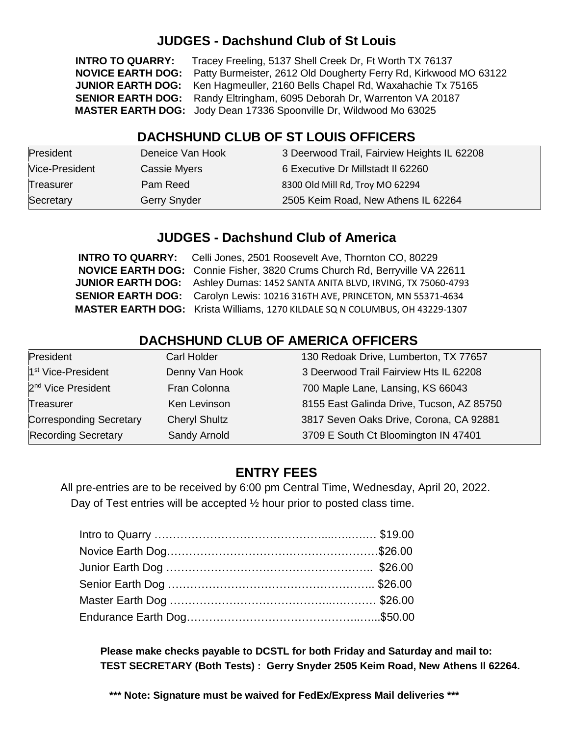## **JUDGES - Dachshund Club of St Louis**

**INTRO TO QUARRY:** Tracey Freeling, 5137 Shell Creek Dr, Ft Worth TX 76137  **NOVICE EARTH DOG:** Patty Burmeister, 2612 Old Dougherty Ferry Rd, Kirkwood MO 63122  **JUNIOR EARTH DOG:** Ken Hagmeuller, 2160 Bells Chapel Rd, Waxahachie Tx 75165  **SENIOR EARTH DOG:** Randy Eltringham, 6095 Deborah Dr, Warrenton VA 20187  **MASTER EARTH DOG:** Jody Dean 17336 Spoonville Dr, Wildwood Mo 63025

## **DACHSHUND CLUB OF ST LOUIS OFFICERS**

| President      | Deneice Van Hook    | 3 Deerwood Trail, Fairview Heights IL 62208 |
|----------------|---------------------|---------------------------------------------|
| Vice-President | Cassie Myers        | 6 Executive Dr Millstadt II 62260           |
| Treasurer      | Pam Reed            | 8300 Old Mill Rd, Troy MO 62294             |
| Secretary      | <b>Gerry Snyder</b> | 2505 Keim Road, New Athens IL 62264         |

### **JUDGES - Dachshund Club of America**

| <b>INTRO TO QUARRY:</b> Celli Jones, 2501 Roosevelt Ave, Thornton CO, 80229         |
|-------------------------------------------------------------------------------------|
| NOVICE EARTH DOG: Connie Fisher, 3820 Crums Church Rd, Berryville VA 22611          |
| <b>JUNIOR EARTH DOG:</b> Ashley Dumas: 1452 SANTA ANITA BLVD, IRVING, TX 75060-4793 |
| SENIOR EARTH DOG: Carolyn Lewis: 10216 316TH AVE, PRINCETON, MN 55371-4634          |
| <b>MASTER EARTH DOG:</b> Krista Williams, 1270 KILDALE SQ N COLUMBUS, OH 43229-1307 |

## **DACHSHUND CLUB OF AMERICA OFFICERS**

| President                      | Carl Holder          | 130 Redoak Drive, Lumberton, TX 77657     |
|--------------------------------|----------------------|-------------------------------------------|
| 1 <sup>st</sup> Vice-President | Denny Van Hook       | 3 Deerwood Trail Fairview Hts IL 62208    |
| 2 <sup>nd</sup> Vice President | Fran Colonna         | 700 Maple Lane, Lansing, KS 66043         |
| Treasurer                      | Ken Levinson         | 8155 East Galinda Drive, Tucson, AZ 85750 |
| <b>Corresponding Secretary</b> | <b>Cheryl Shultz</b> | 3817 Seven Oaks Drive, Corona, CA 92881   |
| <b>Recording Secretary</b>     | Sandy Arnold         | 3709 E South Ct Bloomington IN 47401      |

### **ENTRY FEES**

All pre-entries are to be received by 6:00 pm Central Time, Wednesday, April 20, 2022. Day of Test entries will be accepted ½ hour prior to posted class time.

**Please make checks payable to DCSTL for both Friday and Saturday and mail to: TEST SECRETARY (Both Tests) : Gerry Snyder 2505 Keim Road, New Athens Il 62264.**

**\*\*\* Note: Signature must be waived for FedEx/Express Mail deliveries \*\*\***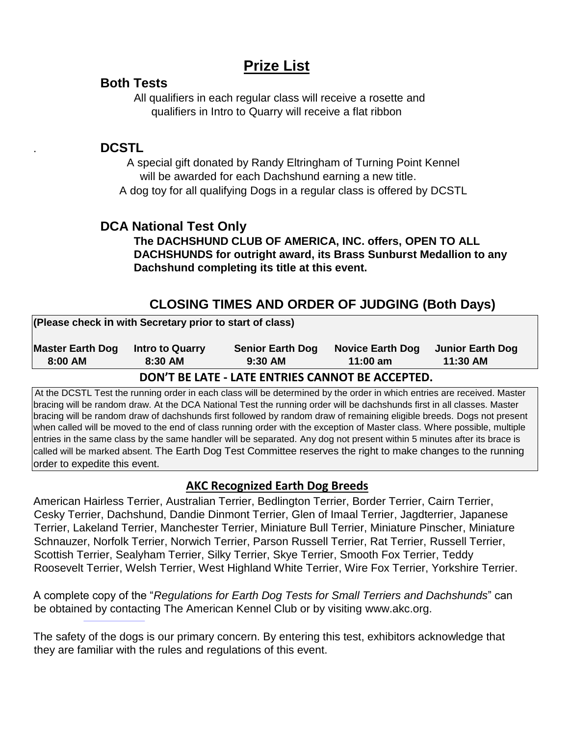# **Prize List**

#### **Both Tests**

All qualifiers in each regular class will receive a rosette and qualifiers in Intro to Quarry will receive a flat ribbon

#### . **DCSTL**

A special gift donated by Randy Eltringham of Turning Point Kennel will be awarded for each Dachshund earning a new title. A dog toy for all qualifying Dogs in a regular class is offered by DCSTL

## **DCA National Test Only**

**The DACHSHUND CLUB OF AMERICA, INC. offers, OPEN TO ALL DACHSHUNDS for outright award, its Brass Sunburst Medallion to any Dachshund completing its title at this event.** 

## **CLOSING TIMES AND ORDER OF JUDGING (Both Days)**

| (Please check in with Secretary prior to start of class) |                                   |                                      |                                       |                              |
|----------------------------------------------------------|-----------------------------------|--------------------------------------|---------------------------------------|------------------------------|
| <b>Master Earth Dog</b><br>$8:00$ AM                     | <b>Intro to Quarry</b><br>8:30 AM | <b>Senior Earth Dog</b><br>$9:30$ AM | <b>Novice Earth Dog</b><br>$11:00$ am | Junior Earth Dog<br>11:30 AM |
| DON'T BE LATE - LATE ENTRIES CANNOT BE ACCEPTED.         |                                   |                                      |                                       |                              |

At the DCSTL Test the running order in each class will be determined by the order in which entries are received. Master bracing will be random draw. At the DCA National Test the running order will be dachshunds first in all classes. Master bracing will be random draw of dachshunds first followed by random draw of remaining eligible breeds. Dogs not present when called will be moved to the end of class running order with the exception of Master class. Where possible, multiple entries in the same class by the same handler will be separated. Any dog not present within 5 minutes after its brace is called will be marked absent. The Earth Dog Test Committee reserves the right to make changes to the running order to expedite this event.

#### **AKC Recognized Earth Dog Breeds**

American Hairless Terrier, Australian Terrier, Bedlington Terrier, Border Terrier, Cairn Terrier, Cesky Terrier, Dachshund, Dandie Dinmont Terrier, Glen of Imaal Terrier, Jagdterrier, Japanese Terrier, Lakeland Terrier, Manchester Terrier, Miniature Bull Terrier, Miniature Pinscher, Miniature Schnauzer, Norfolk Terrier, Norwich Terrier, Parson Russell Terrier, Rat Terrier, Russell Terrier, Scottish Terrier, Sealyham Terrier, Silky Terrier, Skye Terrier, Smooth Fox Terrier, Teddy Roosevelt Terrier, Welsh Terrier, West Highland White Terrier, Wire Fox Terrier, Yorkshire Terrier.

A complete copy of the "*Regulations for Earth Dog Tests for Small Terriers and Dachshunds*" can be obtained by contacting The American Kennel Club or by visiting [www.akc.org.](http://www.akc.org/)

The safety of the dogs is our primary concern. By entering this test, exhibitors acknowledge that they are familiar with the rules and regulations of this event.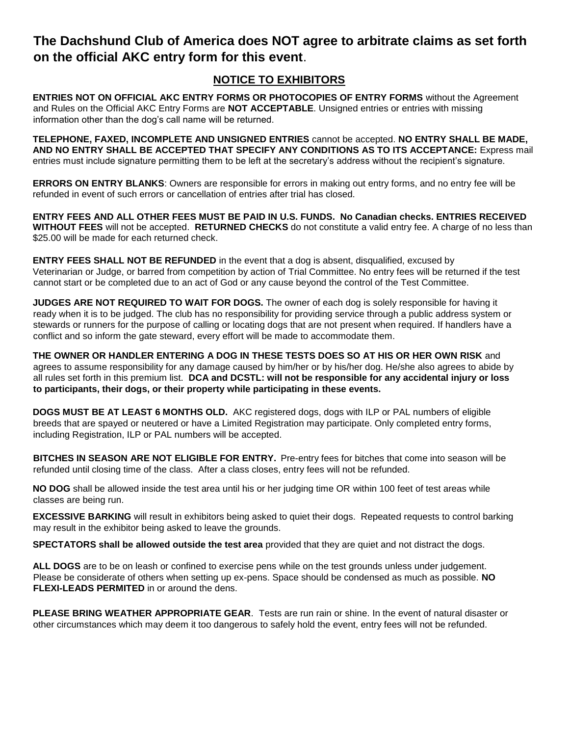### **The Dachshund Club of America does NOT agree to arbitrate claims as set forth on the official AKC entry form for this event**.

#### **NOTICE TO EXHIBITORS**

**ENTRIES NOT ON OFFICIAL AKC ENTRY FORMS OR PHOTOCOPIES OF ENTRY FORMS** without the Agreement and Rules on the Official AKC Entry Forms are **NOT ACCEPTABLE**. Unsigned entries or entries with missing information other than the dog's call name will be returned.

**TELEPHONE, FAXED, INCOMPLETE AND UNSIGNED ENTRIES** cannot be accepted. **NO ENTRY SHALL BE MADE, AND NO ENTRY SHALL BE ACCEPTED THAT SPECIFY ANY CONDITIONS AS TO ITS ACCEPTANCE:** Express mail entries must include signature permitting them to be left at the secretary's address without the recipient's signature.

**ERRORS ON ENTRY BLANKS**: Owners are responsible for errors in making out entry forms, and no entry fee will be refunded in event of such errors or cancellation of entries after trial has closed.

**ENTRY FEES AND ALL OTHER FEES MUST BE PAID IN U.S. FUNDS. No Canadian checks. ENTRIES RECEIVED WITHOUT FEES** will not be accepted. **RETURNED CHECKS** do not constitute a valid entry fee. A charge of no less than \$25.00 will be made for each returned check.

**ENTRY FEES SHALL NOT BE REFUNDED** in the event that a dog is absent, disqualified, excused by Veterinarian or Judge, or barred from competition by action of Trial Committee. No entry fees will be returned if the test cannot start or be completed due to an act of God or any cause beyond the control of the Test Committee.

**JUDGES ARE NOT REQUIRED TO WAIT FOR DOGS.** The owner of each dog is solely responsible for having it ready when it is to be judged. The club has no responsibility for providing service through a public address system or stewards or runners for the purpose of calling or locating dogs that are not present when required. If handlers have a conflict and so inform the gate steward, every effort will be made to accommodate them.

**THE OWNER OR HANDLER ENTERING A DOG IN THESE TESTS DOES SO AT HIS OR HER OWN RISK** and agrees to assume responsibility for any damage caused by him/her or by his/her dog. He/she also agrees to abide by all rules set forth in this premium list. **DCA and DCSTL: will not be responsible for any accidental injury or loss to participants, their dogs, or their property while participating in these events.** 

**DOGS MUST BE AT LEAST 6 MONTHS OLD.** AKC registered dogs, dogs with ILP or PAL numbers of eligible breeds that are spayed or neutered or have a Limited Registration may participate. Only completed entry forms, including Registration, ILP or PAL numbers will be accepted.

**BITCHES IN SEASON ARE NOT ELIGIBLE FOR ENTRY.** Pre-entry fees for bitches that come into season will be refunded until closing time of the class. After a class closes, entry fees will not be refunded.

**NO DOG** shall be allowed inside the test area until his or her judging time OR within 100 feet of test areas while classes are being run.

**EXCESSIVE BARKING** will result in exhibitors being asked to quiet their dogs. Repeated requests to control barking may result in the exhibitor being asked to leave the grounds.

**SPECTATORS shall be allowed outside the test area** provided that they are quiet and not distract the dogs.

**ALL DOGS** are to be on leash or confined to exercise pens while on the test grounds unless under judgement. Please be considerate of others when setting up ex-pens. Space should be condensed as much as possible. **NO FLEXI-LEADS PERMITED** in or around the dens.

**PLEASE BRING WEATHER APPROPRIATE GEAR**. Tests are run rain or shine. In the event of natural disaster or other circumstances which may deem it too dangerous to safely hold the event, entry fees will not be refunded.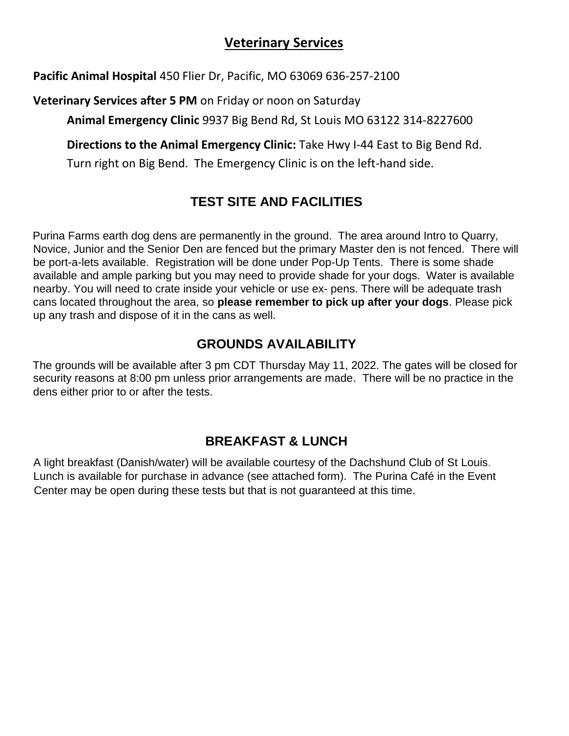## **Veterinary Services**

**Pacific Animal Hospital** 450 Flier Dr, Pacific, MO 63069 636-257-2100

**Veterinary Services after 5 PM** on Friday or noon on Saturday

**Animal Emergency Clinic** 9937 Big Bend Rd, St Louis MO 63122 314-8227600

**Directions to the Animal Emergency Clinic:** Take Hwy I-44 East to Big Bend Rd.

Turn right on Big Bend. The Emergency Clinic is on the left-hand side.

## **TEST SITE AND FACILITIES**

Purina Farms earth dog dens are permanently in the ground. The area around Intro to Quarry, Novice, Junior and the Senior Den are fenced but the primary Master den is not fenced. There will be port-a-lets available. Registration will be done under Pop-Up Tents. There is some shade available and ample parking but you may need to provide shade for your dogs. Water is available nearby. You will need to crate inside your vehicle or use ex- pens. There will be adequate trash cans located throughout the area, so **please remember to pick up after your dogs**. Please pick up any trash and dispose of it in the cans as well.

## **GROUNDS AVAILABILITY**

The grounds will be available after 3 pm CDT Thursday May 11, 2022. The gates will be closed for security reasons at 8:00 pm unless prior arrangements are made. There will be no practice in the dens either prior to or after the tests.

## **BREAKFAST & LUNCH**

A light breakfast (Danish/water) will be available courtesy of the Dachshund Club of St Louis. Lunch is available for purchase in advance (see attached form). The Purina Café in the Event Center may be open during these tests but that is not guaranteed at this time.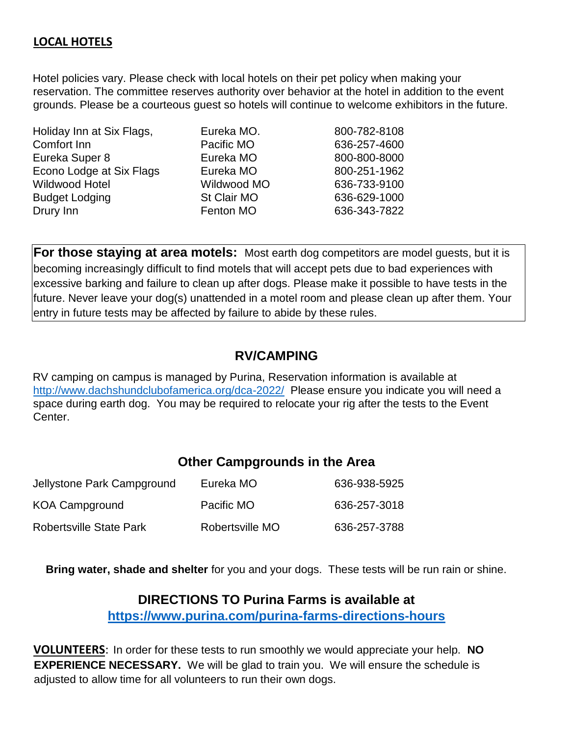#### **LOCAL HOTELS**

Hotel policies vary. Please check with local hotels on their pet policy when making your reservation. The committee reserves authority over behavior at the hotel in addition to the event grounds. Please be a courteous guest so hotels will continue to welcome exhibitors in the future.

| Holiday Inn at Six Flags, | Eureka MO.  | 800-782-8108 |
|---------------------------|-------------|--------------|
| Comfort Inn               | Pacific MO  | 636-257-4600 |
| Eureka Super 8            | Eureka MO   | 800-800-8000 |
| Econo Lodge at Six Flags  | Eureka MO   | 800-251-1962 |
| Wildwood Hotel            | Wildwood MO | 636-733-9100 |
| <b>Budget Lodging</b>     | St Clair MO | 636-629-1000 |
| Drury Inn                 | Fenton MO   | 636-343-7822 |
|                           |             |              |

**For those staying at area motels:** Most earth dog competitors are model guests, but it is becoming increasingly difficult to find motels that will accept pets due to bad experiences with excessive barking and failure to clean up after dogs. Please make it possible to have tests in the future. Never leave your dog(s) unattended in a motel room and please clean up after them. Your entry in future tests may be affected by failure to abide by these rules.

#### **RV/CAMPING**

RV camping on campus is managed by Purina, Reservation information is available at <http://www.dachshundclubofamerica.org/dca-2022/>Please ensure you indicate you will need a space during earth dog. You may be required to relocate your rig after the tests to the Event Center.

#### **Other Campgrounds in the Area**

| Jellystone Park Campground     | Eureka MO       | 636-938-5925 |
|--------------------------------|-----------------|--------------|
| <b>KOA Campground</b>          | Pacific MO      | 636-257-3018 |
| <b>Robertsville State Park</b> | Robertsville MO | 636-257-3788 |

**Bring water, shade and shelter** for you and your dogs. These tests will be run rain or shine.

#### **DIRECTIONS TO Purina Farms is available at**

**<https://www.purina.com/purina-farms-directions-hours>**

**VOLUNTEERS**: In order for these tests to run smoothly we would appreciate your help. **NO EXPERIENCE NECESSARY.** We will be glad to train you. We will ensure the schedule is adjusted to allow time for all volunteers to run their own dogs.